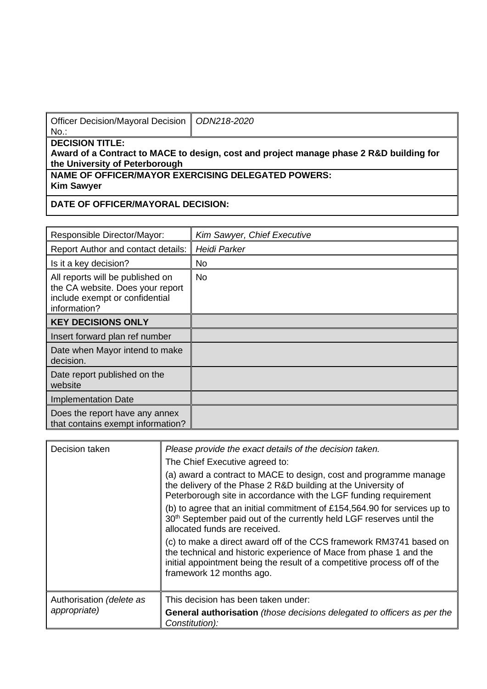| Officer Decision/Mayoral Decision   ODN218-2020<br>No.: |                                                                                         |
|---------------------------------------------------------|-----------------------------------------------------------------------------------------|
| <b>DECISION TITLE:</b>                                  | Award of a Contract to MACE to design, cost and project manage phase 2 R&D building for |

**Award of a Contract to MACE to the University of Peterborough** 

**NAME OF OFFICER/MAYOR EXERCISING DELEGATED POWERS: Kim Sawyer**

**DATE OF OFFICER/MAYORAL DECISION:**

| Responsible Director/Mayor:                                                                                            | Kim Sawyer, Chief Executive |
|------------------------------------------------------------------------------------------------------------------------|-----------------------------|
| Report Author and contact details:                                                                                     | Heidi Parker                |
| Is it a key decision?                                                                                                  | No.                         |
| All reports will be published on<br>the CA website. Does your report<br>include exempt or confidential<br>information? | <b>No</b>                   |
| <b>KEY DECISIONS ONLY</b>                                                                                              |                             |
| Insert forward plan ref number                                                                                         |                             |
| Date when Mayor intend to make<br>decision.                                                                            |                             |
| Date report published on the<br>website                                                                                |                             |
| <b>Implementation Date</b>                                                                                             |                             |
| Does the report have any annex<br>that contains exempt information?                                                    |                             |

| Decision taken                           | Please provide the exact details of the decision taken.<br>The Chief Executive agreed to:<br>(a) award a contract to MACE to design, cost and programme manage<br>the delivery of the Phase 2 R&D building at the University of<br>Peterborough site in accordance with the LGF funding requirement<br>(b) to agree that an initial commitment of £154,564.90 for services up to<br>30 <sup>th</sup> September paid out of the currently held LGF reserves until the<br>allocated funds are received.<br>(c) to make a direct award off of the CCS framework RM3741 based on<br>the technical and historic experience of Mace from phase 1 and the<br>initial appointment being the result of a competitive process off of the<br>framework 12 months ago. |
|------------------------------------------|------------------------------------------------------------------------------------------------------------------------------------------------------------------------------------------------------------------------------------------------------------------------------------------------------------------------------------------------------------------------------------------------------------------------------------------------------------------------------------------------------------------------------------------------------------------------------------------------------------------------------------------------------------------------------------------------------------------------------------------------------------|
| Authorisation (delete as<br>appropriate) | This decision has been taken under:<br><b>General authorisation</b> (those decisions delegated to officers as per the<br>Constitution):                                                                                                                                                                                                                                                                                                                                                                                                                                                                                                                                                                                                                    |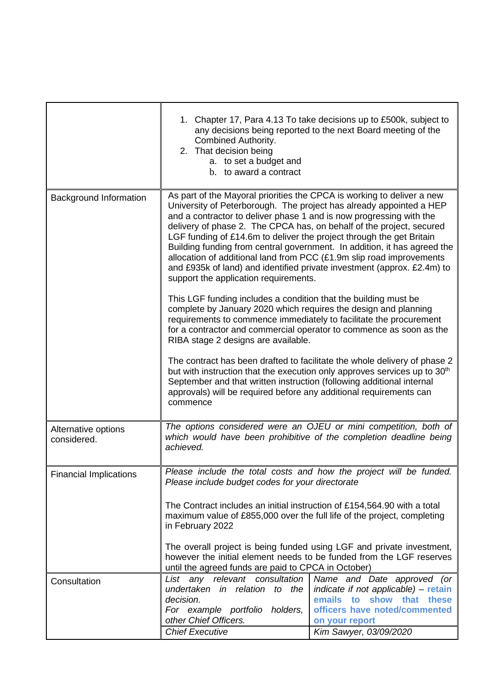|                                    | Combined Authority.<br>2. That decision being<br>a. to set a budget and<br>b. to award a contract                                                                                                                                                                                                                                                                                                                                                                                                                                                                                                                                                                                                                                                                                                                                                        | 1. Chapter 17, Para 4.13 To take decisions up to £500k, subject to<br>any decisions being reported to the next Board meeting of the                                                |  |
|------------------------------------|----------------------------------------------------------------------------------------------------------------------------------------------------------------------------------------------------------------------------------------------------------------------------------------------------------------------------------------------------------------------------------------------------------------------------------------------------------------------------------------------------------------------------------------------------------------------------------------------------------------------------------------------------------------------------------------------------------------------------------------------------------------------------------------------------------------------------------------------------------|------------------------------------------------------------------------------------------------------------------------------------------------------------------------------------|--|
| <b>Background Information</b>      | As part of the Mayoral priorities the CPCA is working to deliver a new<br>University of Peterborough. The project has already appointed a HEP<br>and a contractor to deliver phase 1 and is now progressing with the<br>delivery of phase 2. The CPCA has, on behalf of the project, secured<br>LGF funding of £14.6m to deliver the project through the get Britain<br>Building funding from central government. In addition, it has agreed the<br>allocation of additional land from PCC (£1.9m slip road improvements<br>and £935k of land) and identified private investment (approx. £2.4m) to<br>support the application requirements.<br>This LGF funding includes a condition that the building must be<br>complete by January 2020 which requires the design and planning<br>requirements to commence immediately to facilitate the procurement |                                                                                                                                                                                    |  |
|                                    | for a contractor and commercial operator to commence as soon as the<br>RIBA stage 2 designs are available.                                                                                                                                                                                                                                                                                                                                                                                                                                                                                                                                                                                                                                                                                                                                               |                                                                                                                                                                                    |  |
|                                    | September and that written instruction (following additional internal<br>approvals) will be required before any additional requirements can<br>commence                                                                                                                                                                                                                                                                                                                                                                                                                                                                                                                                                                                                                                                                                                  | The contract has been drafted to facilitate the whole delivery of phase 2<br>but with instruction that the execution only approves services up to 30 <sup>th</sup>                 |  |
| Alternative options<br>considered. | The options considered were an OJEU or mini competition, both of<br>which would have been prohibitive of the completion deadline being<br>achieved.                                                                                                                                                                                                                                                                                                                                                                                                                                                                                                                                                                                                                                                                                                      |                                                                                                                                                                                    |  |
| <b>Financial Implications</b>      | Please include the total costs and how the project will be funded.<br>Please include budget codes for your directorate<br>The Contract includes an initial instruction of £154,564.90 with a total<br>maximum value of £855,000 over the full life of the project, completing<br>in February 2022                                                                                                                                                                                                                                                                                                                                                                                                                                                                                                                                                        |                                                                                                                                                                                    |  |
|                                    |                                                                                                                                                                                                                                                                                                                                                                                                                                                                                                                                                                                                                                                                                                                                                                                                                                                          |                                                                                                                                                                                    |  |
|                                    | The overall project is being funded using LGF and private investment,<br>however the initial element needs to be funded from the LGF reserves<br>until the agreed funds are paid to CPCA in October)                                                                                                                                                                                                                                                                                                                                                                                                                                                                                                                                                                                                                                                     |                                                                                                                                                                                    |  |
| Consultation                       | consultation<br>List<br>any<br>relevant<br>undertaken<br>in relation to the<br>decision.<br>For example portfolio holders,<br>other Chief Officers.<br><b>Chief Executive</b>                                                                                                                                                                                                                                                                                                                                                                                                                                                                                                                                                                                                                                                                            | Name and Date approved (or<br>indicate if not applicable) - retain<br>emails to<br>show that<br>these<br>officers have noted/commented<br>on your report<br>Kim Sawyer, 03/09/2020 |  |